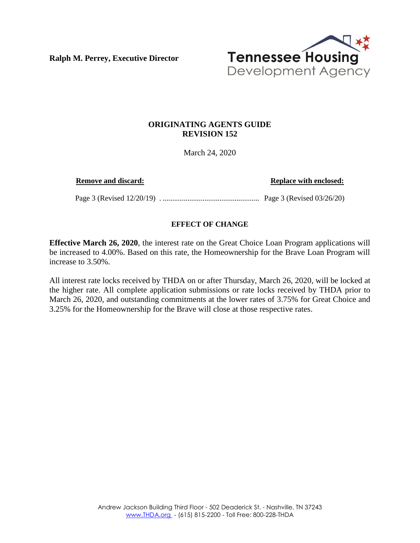**Ralph M. Perrey, Executive Director**



## **ORIGINATING AGENTS GUIDE REVISION 152**

March 24, 2020

**Remove and discard: Replace with enclosed: Replace with enclosed:** 

Page 3 (Revised 12/20/19) . ................................................... Page 3 (Revised 03/26/20)

## **EFFECT OF CHANGE**

**Effective March 26, 2020**, the interest rate on the Great Choice Loan Program applications will be increased to 4.00%. Based on this rate, the Homeownership for the Brave Loan Program will increase to 3.50%.

All interest rate locks received by THDA on or after Thursday, March 26, 2020, will be locked at the higher rate. All complete application submissions or rate locks received by THDA prior to March 26, 2020, and outstanding commitments at the lower rates of 3.75% for Great Choice and 3.25% for the Homeownership for the Brave will close at those respective rates.